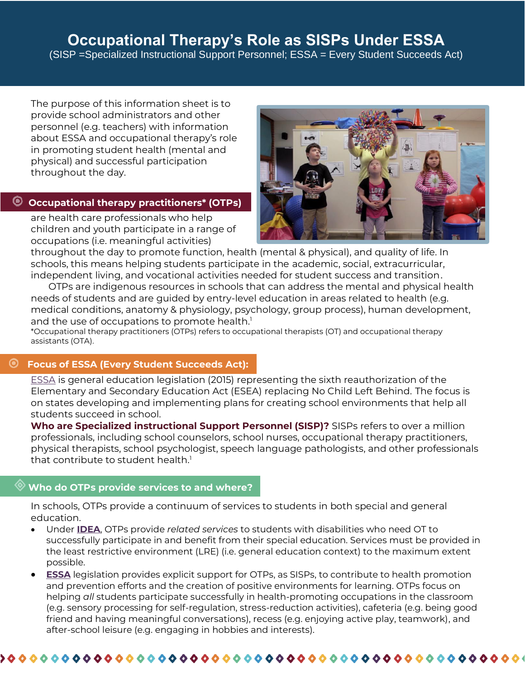# **Occupational Therapy's Role as SISPs Under ESSA**

(SISP =Specialized Instructional Support Personnel; ESSA = Every Student Succeeds Act)

The purpose of this information sheet is to provide school administrators and other personnel (e.g. teachers) with information about ESSA and occupational therapy's role in promoting student health (mental and physical) and successful participation throughout the day.

## **Occupational therapy practitioners\* (OTPs)**

are health care professionals who help children and youth participate in a range of occupations (i.e. meaningful activities)



throughout the day to promote function, health (mental & physical), and quality of life. In schools, this means helping students participate in the academic, social, extracurricular, independent living, and vocational activities needed for student success and transition.

 OTPs are indigenous resources in schools that can address the mental and physical health needs of students and are guided by entry-level education in areas related to health (e.g. medical conditions, anatomy & physiology, psychology, group process), human development, and the use of occupations to promote health.<sup>1</sup>

\*Occupational therapy practitioners (OTPs) refers to occupational therapists (OT) and occupational therapy assistants (OTA).

## **Focus of ESSA (Every Student Succeeds Act):**

[ESSA](https://www.ed.gov/esea) is general education legislation (2015) representing the sixth reauthorization of the Elementary and Secondary Education Act (ESEA) replacing No Child Left Behind. The focus is on states developing and implementing plans for creating school environments that help all students succeed in school.

**Who are Specialized instructional Support Personnel (SISP)?** SISPs refers to over a million professionals, including school counselors, school nurses, occupational therapy practitioners, physical therapists, school psychologist, speech language pathologists, and other professionals that contribute to student health. $1$ 

## **Who do OTPs provide services to and where?**

In schools, OTPs provide a continuum of services to students in both special and general education.

- Under **[IDEA](https://sites.ed.gov/idea/)**, OTPs provide *related services* to students with disabilities who need OT to successfully participate in and benefit from their special education. Services must be provided in the least restrictive environment (LRE) (i.e. general education context) to the maximum extent possible.
- **[ESSA](https://www.ed.gov/esea)** legislation provides explicit support for OTPs, as SISPs, to contribute to health promotion and prevention efforts and the creation of positive environments for learning. OTPs focus on helping *all* students participate successfully in health-promoting occupations in the classroom (e.g. sensory processing for self-regulation, stress-reduction activities), cafeteria (e.g. being good friend and having meaningful conversations), recess (e.g. enjoying active play, teamwork), and after-school leisure (e.g. engaging in hobbies and interests).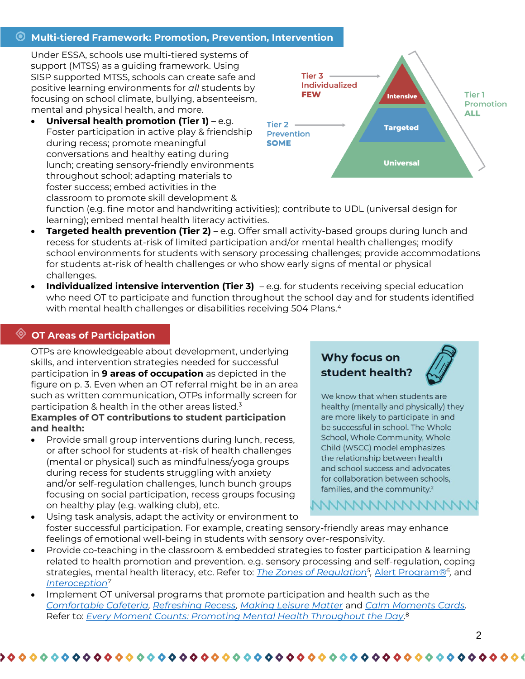## **Multi-tiered Framework: Promotion, Prevention, Intervention**

Under ESSA, schools use multi-tiered systems of support (MTSS) as a guiding framework. Using SISP supported MTSS, schools can create safe and positive learning environments for *all* students by focusing on school climate, bullying, absenteeism, mental and physical health, and more.

• **Universal health promotion (Tier 1)** – e.g. Foster participation in active play & friendship during recess; promote meaningful conversations and healthy eating during lunch; creating sensory-friendly environments throughout school; adapting materials to foster success; embed activities in the classroom to promote skill development &



function (e.g. fine motor and handwriting activities); contribute to UDL (universal design for learning); embed mental health literacy activities.

- **Targeted health prevention (Tier 2)** e.g. Offer small activity-based groups during lunch and recess for students at-risk of limited participation and/or mental health challenges; modify school environments for students with sensory processing challenges; provide accommodations for students at-risk of health challenges or who show early signs of mental or physical challenges.
- **Individualized intensive intervention (Tier 3)** -e.g. for students receiving special education who need OT to participate and function throughout the school day and for students identified with mental health challenges or disabilities receiving 504 Plans.<sup>4</sup>

## **OT Areas of Participation**

Ĩ

OTPs are knowledgeable about development, underlying skills, and intervention strategies needed for successful participation in **9 areas of occupation** as depicted in the figure on p. 3. Even when an OT referral might be in an area such as written communication, OTPs informally screen for participation & health in the other areas listed.<sup>3</sup> **Examples of OT contributions to student participation and health:**

• Provide small group interventions during lunch, recess, or after school for students at-risk of health challenges (mental or physical) such as mindfulness/yoga groups during recess for students struggling with anxiety and/or self-regulation challenges, lunch bunch groups focusing on social participation, recess groups focusing on healthy play (e.g. walking club), etc.

## Why focus on student health?



We know that when students are healthy (mentally and physically) they are more likely to participate in and be successful in school. The Whole School, Whole Community, Whole Child (WSCC) model emphasizes the relationship between health and school success and advocates for collaboration between schools. families, and the community.<sup>2</sup>

MMMMMMMMM

Using task analysis, adapt the activity or environment to foster successful participation. For example, creating sensory-friendly areas may enhance feelings of emotional well-being in students with sensory over-responsivity.

- Provide co-teaching in the classroom & embedded strategies to foster participation & learning related to health promotion and prevention. e.g. sensory processing and self-regulation, coping strategies, mental health literacy, etc. Refer to: *[The Zones of Regulation](https://zonesofregulation.com/index.html)<sup>5</sup> [,](https://www.alertprogram.com/)* [Alert Program](https://www.alertprogram.com/)*[®](https://www.alertprogram.com/)<sup>6</sup> ,* an[d](https://www.kelly-mahler.com/) *[Interoception](https://www.kelly-mahler.com/)<sup>7</sup>*
- Implement OT universal programs that promote participation and health such as th[e](https://everymomentcounts.org/comfortable-cafeteria/) *[Comfortable Cafeteria,](https://everymomentcounts.org/comfortable-cafeteria/) [Refreshing Recess](https://everymomentcounts.org/refreshing-recess/)[,](https://everymomentcounts.org/making-leisure-matter/) [Making Leisure Matter](https://everymomentcounts.org/making-leisure-matter/)* an[d](https://everymomentcounts.org/calm-moments-cards/) *[Calm Moments Cards.](https://everymomentcounts.org/calm-moments-cards/)*  Refer to: *[Every Moment Counts: Promoting Mental Health Throughout the Day](https://everymomentcounts.org/)*. 8